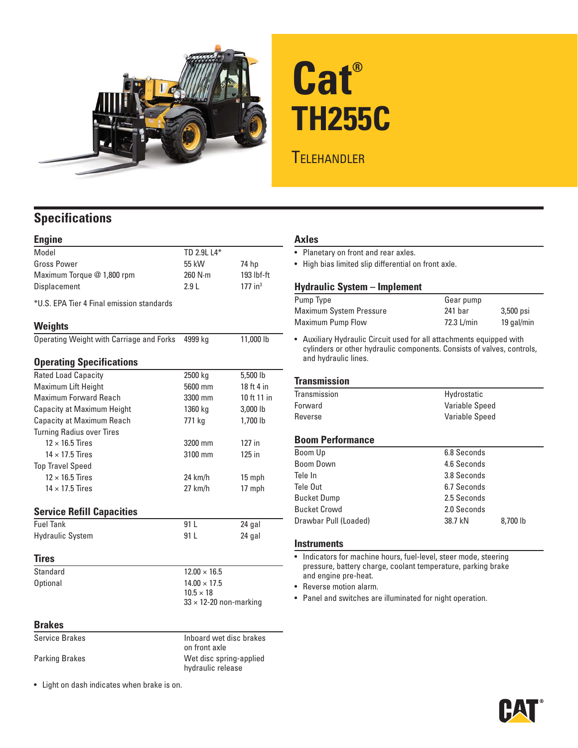

# **Cat® TH255C**

## **TELEHANDLER**

### **Specifications**

| <b>Engine</b>                             |                                |                       |
|-------------------------------------------|--------------------------------|-----------------------|
| <b>Model</b>                              | TD 2.9L L4*                    |                       |
| <b>Gross Power</b>                        | 55 kW                          | 74 hp                 |
| Maximum Torque @ 1,800 rpm                | 260 N·m                        | 193 lbf-ft            |
| Displacement                              | 2.91                           | $177$ in <sup>3</sup> |
| *U.S. EPA Tier 4 Final emission standards |                                |                       |
| Weights                                   |                                |                       |
| Operating Weight with Carriage and Forks  | 4999 kg                        | 11,000 lb             |
| <b>Operating Specifications</b>           |                                |                       |
| <b>Rated Load Capacity</b>                | 2500 kg                        | 5,500 lb              |
| Maximum Lift Height                       | 5600 mm                        | 18 ft 4 in            |
| Maximum Forward Reach                     | 3300 mm                        | 10 ft 11 in           |
| <b>Capacity at Maximum Height</b>         | 1360 kg                        | 3,000 lb              |
| <b>Capacity at Maximum Reach</b>          | 771 kg                         | 1,700 lb              |
| <b>Turning Radius over Tires</b>          |                                |                       |
| $12 \times 16.5$ Tires                    | 3200 mm                        | 127 in                |
| $14 \times 17.5$ Tires                    | 3100 mm                        | 125 in                |
| <b>Top Travel Speed</b>                   |                                |                       |
| $12 \times 16.5$ Tires                    | $24$ km/h                      | 15 mph                |
| $14 \times 17.5$ Tires                    | $27$ km/h                      | 17 mph                |
| <b>Service Refill Capacities</b>          |                                |                       |
| <b>Fuel Tank</b>                          | 91 <sub>1</sub>                | 24 gal                |
| <b>Hydraulic System</b>                   | 91 L                           | 24 gal                |
| Tires                                     |                                |                       |
| Standard                                  | $12.00 \times 16.5$            |                       |
| <b>Optional</b>                           | $14.00 \times 17.5$            |                       |
|                                           | $10.5 \times 18$               |                       |
|                                           | $33 \times 12$ -20 non-marking |                       |

#### **Brakes**

| <b>Service Brakes</b> | Inboard wet disc brakes<br>on front axle     |
|-----------------------|----------------------------------------------|
| <b>Parking Brakes</b> | Wet disc spring-applied<br>hydraulic release |

• Light on dash indicates when brake is on.

#### **Axles**

• Planetary on front and rear axles.

• High bias limited slip differential on front axle.

#### **Hydraulic System – Implement**

| Pump Type               | Gear pump  |            |
|-------------------------|------------|------------|
| Maximum System Pressure | 241 bar    | 3,500 psi  |
| Maximum Pump Flow       | 72.3 L/min | 19 gal/min |

• Auxiliary Hydraulic Circuit used for all attachments equipped with cylinders or other hydraulic components. Consists of valves, controls, and hydraulic lines.

#### **Transmission**

| Transmission | Hydrostatic    |
|--------------|----------------|
| Forward      | Variable Speed |
| Reverse      | Variable Speed |

#### **Boom Performance**

| Boom Up               | 6.8 Seconds |          |
|-----------------------|-------------|----------|
| Boom Down             | 4.6 Seconds |          |
| Tele In               | 3.8 Seconds |          |
| Tele Out              | 6.7 Seconds |          |
| <b>Bucket Dump</b>    | 2.5 Seconds |          |
| <b>Bucket Crowd</b>   | 2.0 Seconds |          |
| Drawbar Pull (Loaded) | 38.7 kN     | 8,700 lb |
|                       |             |          |

#### **Instruments**

• Indicators for machine hours, fuel-level, steer mode, steering pressure, battery charge, coolant temperature, parking brake and engine pre-heat.

• Reverse motion alarm.

• Panel and switches are illuminated for night operation.